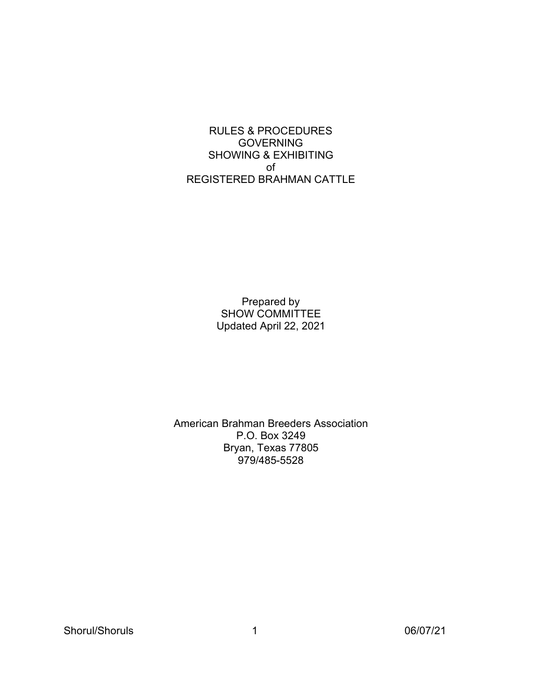RULES & PROCEDURES GOVERNING SHOWING & EXHIBITING of REGISTERED BRAHMAN CATTLE

> Prepared by SHOW COMMITTEE Updated April 22, 2021

American Brahman Breeders Association P.O. Box 3249 Bryan, Texas 77805 979/485-5528

Shorul/Shoruls 1 06/07/21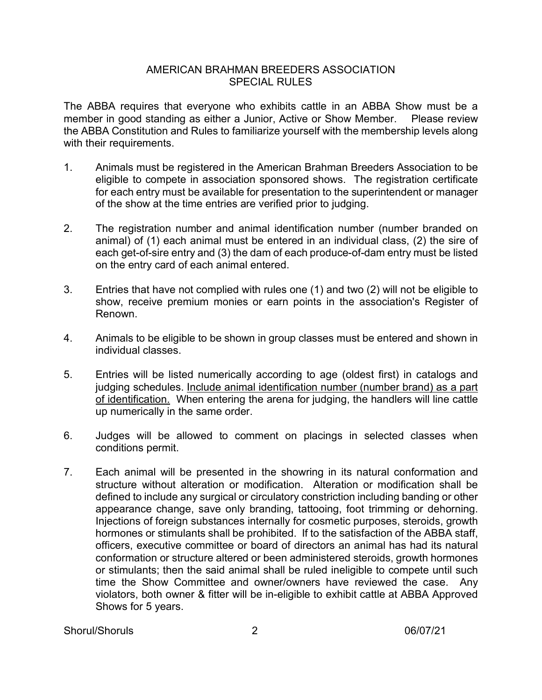#### AMERICAN BRAHMAN BREEDERS ASSOCIATION SPECIAL RULES

The ABBA requires that everyone who exhibits cattle in an ABBA Show must be a member in good standing as either a Junior, Active or Show Member. Please review the ABBA Constitution and Rules to familiarize yourself with the membership levels along with their requirements.

- 1. Animals must be registered in the American Brahman Breeders Association to be eligible to compete in association sponsored shows. The registration certificate for each entry must be available for presentation to the superintendent or manager of the show at the time entries are verified prior to judging.
- 2. The registration number and animal identification number (number branded on animal) of (1) each animal must be entered in an individual class, (2) the sire of each get-of-sire entry and (3) the dam of each produce-of-dam entry must be listed on the entry card of each animal entered.
- 3. Entries that have not complied with rules one (1) and two (2) will not be eligible to show, receive premium monies or earn points in the association's Register of Renown.
- 4. Animals to be eligible to be shown in group classes must be entered and shown in individual classes.
- 5. Entries will be listed numerically according to age (oldest first) in catalogs and judging schedules. Include animal identification number (number brand) as a part of identification. When entering the arena for judging, the handlers will line cattle up numerically in the same order.
- 6. Judges will be allowed to comment on placings in selected classes when conditions permit.
- 7. Each animal will be presented in the showring in its natural conformation and structure without alteration or modification. Alteration or modification shall be defined to include any surgical or circulatory constriction including banding or other appearance change, save only branding, tattooing, foot trimming or dehorning. Injections of foreign substances internally for cosmetic purposes, steroids, growth hormones or stimulants shall be prohibited. If to the satisfaction of the ABBA staff, officers, executive committee or board of directors an animal has had its natural conformation or structure altered or been administered steroids, growth hormones or stimulants; then the said animal shall be ruled ineligible to compete until such time the Show Committee and owner/owners have reviewed the case. Any violators, both owner & fitter will be in-eligible to exhibit cattle at ABBA Approved Shows for 5 years.

Shorul/Shoruls 2 06/07/21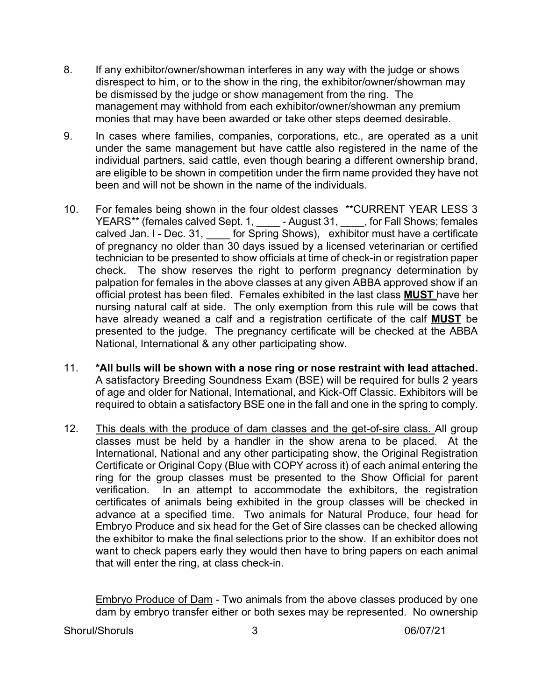- 8. If any exhibitor/owner/showman interferes in any way with the judge or shows disrespect to him, or to the show in the ring, the exhibitor/owner/showman may be dismissed by the judge or show management from the ring. The management may withhold from each exhibitor/owner/showman any premium monies that may have been awarded or take other steps deemed desirable.
- 9. In cases where families, companies, corporations, etc., are operated as a unit under the same management but have cattle also registered in the name of the individual partners, said cattle, even though bearing a different ownership brand, are eligible to be shown in competition under the firm name provided they have not been and will not be shown in the name of the individuals.
- 10. For females being shown in the four oldest classes \*\*CURRENT YEAR LESS 3 YEARS\*\* (females calved Sept. 1, \_\_\_\_\_\_ - August 31, \_\_\_\_, for Fall Shows; females calved Jan. I - Dec. 31, [60] for Spring Shows), exhibitor must have a certificate of pregnancy no older than 30 days issued by a licensed veterinarian or certified technician to be presented to show officials at time of check-in or registration paper check. The show reserves the right to perform pregnancy determination by palpation for females in the above classes at any given ABBA approved show if an official protest has been filed. Females exhibited in the last class **MUST** have her nursing natural calf at side. The only exemption from this rule will be cows that have already weaned a calf and a registration certificate of the calf **MUST** be presented to the judge. The pregnancy certificate will be checked at the ABBA National, International & any other participating show.
- 11. **\*All bulls will be shown with a nose ring or nose restraint with lead attached.**  A satisfactory Breeding Soundness Exam (BSE) will be required for bulls 2 years of age and older for National, International, and Kick-Off Classic. Exhibitors will be required to obtain a satisfactory BSE one in the fall and one in the spring to comply.
- 12. This deals with the produce of dam classes and the get-of-sire class. All group classes must be held by a handler in the show arena to be placed. At the International, National and any other participating show, the Original Registration Certificate or Original Copy (Blue with COPY across it) of each animal entering the ring for the group classes must be presented to the Show Official for parent verification. In an attempt to accommodate the exhibitors, the registration certificates of animals being exhibited in the group classes will be checked in advance at a specified time. Two animals for Natural Produce, four head for Embryo Produce and six head for the Get of Sire classes can be checked allowing the exhibitor to make the final selections prior to the show. If an exhibitor does not want to check papers early they would then have to bring papers on each animal that will enter the ring, at class check-in.

Embryo Produce of Dam - Two animals from the above classes produced by one dam by embryo transfer either or both sexes may be represented. No ownership

Shorul/Shoruls 3 06/07/21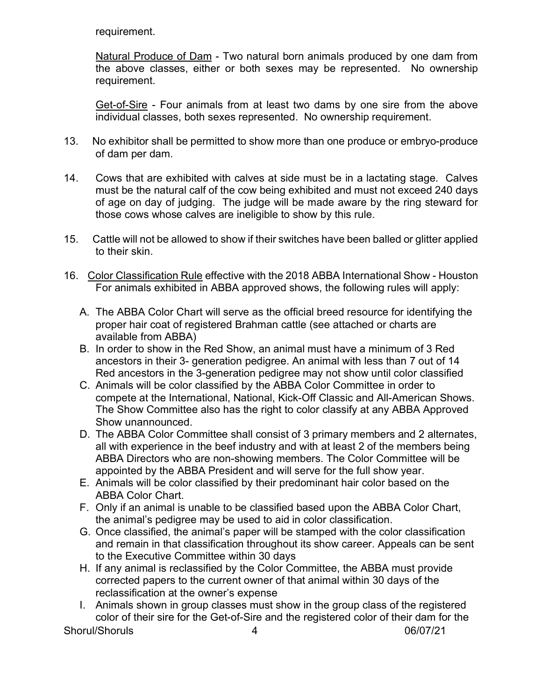requirement.

Natural Produce of Dam - Two natural born animals produced by one dam from the above classes, either or both sexes may be represented. No ownership requirement.

Get-of-Sire - Four animals from at least two dams by one sire from the above individual classes, both sexes represented. No ownership requirement.

- 13. No exhibitor shall be permitted to show more than one produce or embryo-produce of dam per dam.
- 14. Cows that are exhibited with calves at side must be in a lactating stage. Calves must be the natural calf of the cow being exhibited and must not exceed 240 days of age on day of judging. The judge will be made aware by the ring steward for those cows whose calves are ineligible to show by this rule.
- 15. Cattle will not be allowed to show if their switches have been balled or glitter applied to their skin.
- 16. Color Classification Rule effective with the 2018 ABBA International Show Houston For animals exhibited in ABBA approved shows, the following rules will apply:
	- A. The ABBA Color Chart will serve as the official breed resource for identifying the proper hair coat of registered Brahman cattle (see attached or charts are available from ABBA)
	- B. In order to show in the Red Show, an animal must have a minimum of 3 Red ancestors in their 3- generation pedigree. An animal with less than 7 out of 14 Red ancestors in the 3-generation pedigree may not show until color classified
	- C. Animals will be color classified by the ABBA Color Committee in order to compete at the International, National, Kick-Off Classic and All-American Shows. The Show Committee also has the right to color classify at any ABBA Approved Show unannounced.
	- D. The ABBA Color Committee shall consist of 3 primary members and 2 alternates, all with experience in the beef industry and with at least 2 of the members being ABBA Directors who are non-showing members. The Color Committee will be appointed by the ABBA President and will serve for the full show year.
	- E. Animals will be color classified by their predominant hair color based on the ABBA Color Chart.
	- F. Only if an animal is unable to be classified based upon the ABBA Color Chart, the animal's pedigree may be used to aid in color classification.
	- G. Once classified, the animal's paper will be stamped with the color classification and remain in that classification throughout its show career. Appeals can be sent to the Executive Committee within 30 days
	- H. If any animal is reclassified by the Color Committee, the ABBA must provide corrected papers to the current owner of that animal within 30 days of the reclassification at the owner's expense
	- I. Animals shown in group classes must show in the group class of the registered color of their sire for the Get-of-Sire and the registered color of their dam for the

Shorul/Shoruls 4 06/07/21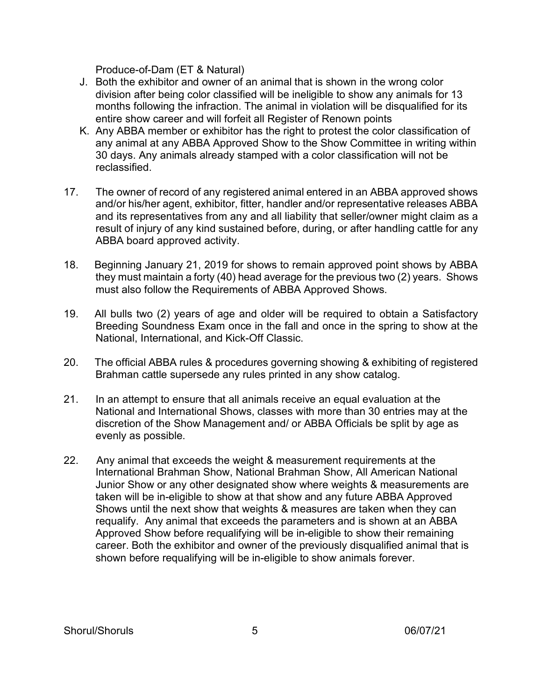Produce-of-Dam (ET & Natural)

- J. Both the exhibitor and owner of an animal that is shown in the wrong color division after being color classified will be ineligible to show any animals for 13 months following the infraction. The animal in violation will be disqualified for its entire show career and will forfeit all Register of Renown points
- K. Any ABBA member or exhibitor has the right to protest the color classification of any animal at any ABBA Approved Show to the Show Committee in writing within 30 days. Any animals already stamped with a color classification will not be reclassified.
- 17. The owner of record of any registered animal entered in an ABBA approved shows and/or his/her agent, exhibitor, fitter, handler and/or representative releases ABBA and its representatives from any and all liability that seller/owner might claim as a result of injury of any kind sustained before, during, or after handling cattle for any ABBA board approved activity.
- 18. Beginning January 21, 2019 for shows to remain approved point shows by ABBA they must maintain a forty (40) head average for the previous two (2) years. Shows must also follow the Requirements of ABBA Approved Shows.
- 19. All bulls two (2) years of age and older will be required to obtain a Satisfactory Breeding Soundness Exam once in the fall and once in the spring to show at the National, International, and Kick-Off Classic.
- 20. The official ABBA rules & procedures governing showing & exhibiting of registered Brahman cattle supersede any rules printed in any show catalog.
- 21. In an attempt to ensure that all animals receive an equal evaluation at the National and International Shows, classes with more than 30 entries may at the discretion of the Show Management and/ or ABBA Officials be split by age as evenly as possible.
- 22. Any animal that exceeds the weight & measurement requirements at the International Brahman Show, National Brahman Show, All American National Junior Show or any other designated show where weights & measurements are taken will be in-eligible to show at that show and any future ABBA Approved Shows until the next show that weights & measures are taken when they can requalify. Any animal that exceeds the parameters and is shown at an ABBA Approved Show before requalifying will be in-eligible to show their remaining career. Both the exhibitor and owner of the previously disqualified animal that is shown before requalifying will be in-eligible to show animals forever.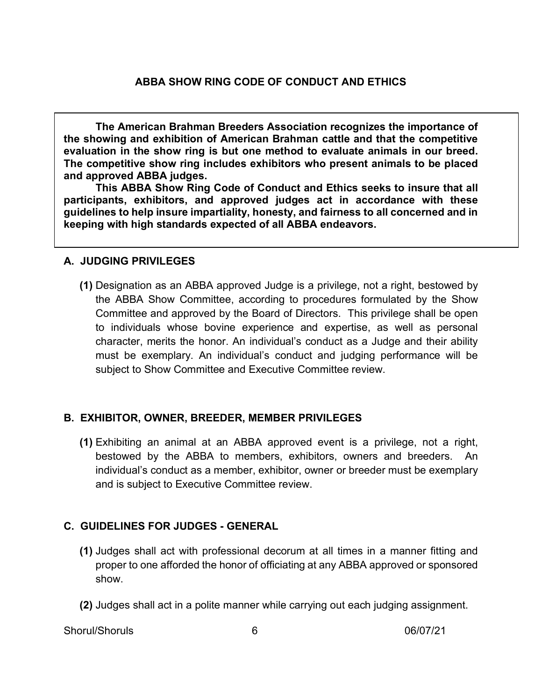**The American Brahman Breeders Association recognizes the importance of the showing and exhibition of American Brahman cattle and that the competitive evaluation in the show ring is but one method to evaluate animals in our breed. The competitive show ring includes exhibitors who present animals to be placed and approved ABBA judges.**

**This ABBA Show Ring Code of Conduct and Ethics seeks to insure that all participants, exhibitors, and approved judges act in accordance with these guidelines to help insure impartiality, honesty, and fairness to all concerned and in keeping with high standards expected of all ABBA endeavors.**

### **A. JUDGING PRIVILEGES**

**(1)** Designation as an ABBA approved Judge is a privilege, not a right, bestowed by the ABBA Show Committee, according to procedures formulated by the Show Committee and approved by the Board of Directors. This privilege shall be open to individuals whose bovine experience and expertise, as well as personal character, merits the honor. An individual's conduct as a Judge and their ability must be exemplary. An individual's conduct and judging performance will be subject to Show Committee and Executive Committee review.

# **B. EXHIBITOR, OWNER, BREEDER, MEMBER PRIVILEGES**

**(1)** Exhibiting an animal at an ABBA approved event is a privilege, not a right, bestowed by the ABBA to members, exhibitors, owners and breeders. An individual's conduct as a member, exhibitor, owner or breeder must be exemplary and is subject to Executive Committee review.

# **C. GUIDELINES FOR JUDGES - GENERAL**

- **(1)** Judges shall act with professional decorum at all times in a manner fitting and proper to one afforded the honor of officiating at any ABBA approved or sponsored show.
- **(2)** Judges shall act in a polite manner while carrying out each judging assignment.

Shorul/Shoruls 6 06/07/21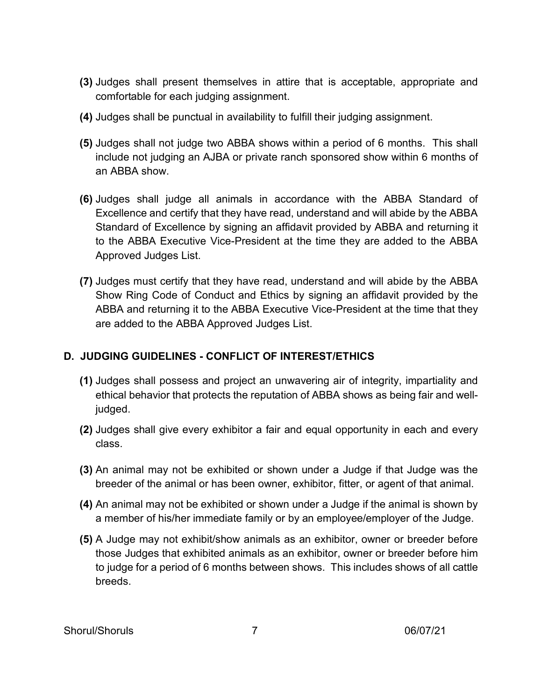- **(3)** Judges shall present themselves in attire that is acceptable, appropriate and comfortable for each judging assignment.
- **(4)** Judges shall be punctual in availability to fulfill their judging assignment.
- **(5)** Judges shall not judge two ABBA shows within a period of 6 months. This shall include not judging an AJBA or private ranch sponsored show within 6 months of an ABBA show.
- **(6)** Judges shall judge all animals in accordance with the ABBA Standard of Excellence and certify that they have read, understand and will abide by the ABBA Standard of Excellence by signing an affidavit provided by ABBA and returning it to the ABBA Executive Vice-President at the time they are added to the ABBA Approved Judges List.
- **(7)** Judges must certify that they have read, understand and will abide by the ABBA Show Ring Code of Conduct and Ethics by signing an affidavit provided by the ABBA and returning it to the ABBA Executive Vice-President at the time that they are added to the ABBA Approved Judges List.

# **D. JUDGING GUIDELINES - CONFLICT OF INTEREST/ETHICS**

- **(1)** Judges shall possess and project an unwavering air of integrity, impartiality and ethical behavior that protects the reputation of ABBA shows as being fair and welljudged.
- **(2)** Judges shall give every exhibitor a fair and equal opportunity in each and every class.
- **(3)** An animal may not be exhibited or shown under a Judge if that Judge was the breeder of the animal or has been owner, exhibitor, fitter, or agent of that animal.
- **(4)** An animal may not be exhibited or shown under a Judge if the animal is shown by a member of his/her immediate family or by an employee/employer of the Judge.
- **(5)** A Judge may not exhibit/show animals as an exhibitor, owner or breeder before those Judges that exhibited animals as an exhibitor, owner or breeder before him to judge for a period of 6 months between shows. This includes shows of all cattle breeds.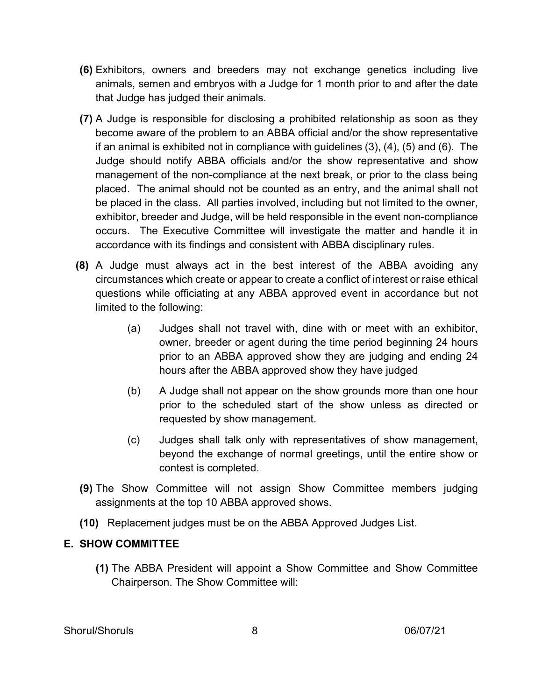- **(6)** Exhibitors, owners and breeders may not exchange genetics including live animals, semen and embryos with a Judge for 1 month prior to and after the date that Judge has judged their animals.
- **(7)** A Judge is responsible for disclosing a prohibited relationship as soon as they become aware of the problem to an ABBA official and/or the show representative if an animal is exhibited not in compliance with guidelines (3), (4), (5) and (6). The Judge should notify ABBA officials and/or the show representative and show management of the non-compliance at the next break, or prior to the class being placed. The animal should not be counted as an entry, and the animal shall not be placed in the class. All parties involved, including but not limited to the owner, exhibitor, breeder and Judge, will be held responsible in the event non-compliance occurs. The Executive Committee will investigate the matter and handle it in accordance with its findings and consistent with ABBA disciplinary rules.
- **(8)** A Judge must always act in the best interest of the ABBA avoiding any circumstances which create or appear to create a conflict of interest or raise ethical questions while officiating at any ABBA approved event in accordance but not limited to the following:
	- (a) Judges shall not travel with, dine with or meet with an exhibitor, owner, breeder or agent during the time period beginning 24 hours prior to an ABBA approved show they are judging and ending 24 hours after the ABBA approved show they have judged
	- (b) A Judge shall not appear on the show grounds more than one hour prior to the scheduled start of the show unless as directed or requested by show management.
	- (c) Judges shall talk only with representatives of show management, beyond the exchange of normal greetings, until the entire show or contest is completed.
- **(9)** The Show Committee will not assign Show Committee members judging assignments at the top 10 ABBA approved shows.
- **(10)** Replacement judges must be on the ABBA Approved Judges List.

#### **E. SHOW COMMITTEE**

**(1)** The ABBA President will appoint a Show Committee and Show Committee Chairperson. The Show Committee will: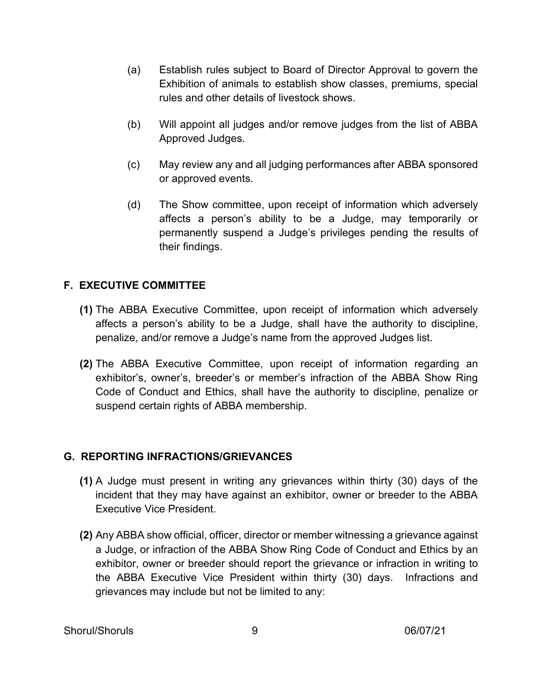- (a) Establish rules subject to Board of Director Approval to govern the Exhibition of animals to establish show classes, premiums, special rules and other details of livestock shows.
- (b) Will appoint all judges and/or remove judges from the list of ABBA Approved Judges.
- (c) May review any and all judging performances after ABBA sponsored or approved events.
- (d) The Show committee, upon receipt of information which adversely affects a person's ability to be a Judge, may temporarily or permanently suspend a Judge's privileges pending the results of their findings.

### **F. EXECUTIVE COMMITTEE**

- **(1)** The ABBA Executive Committee, upon receipt of information which adversely affects a person's ability to be a Judge, shall have the authority to discipline, penalize, and/or remove a Judge's name from the approved Judges list.
- **(2)** The ABBA Executive Committee, upon receipt of information regarding an exhibitor's, owner's, breeder's or member's infraction of the ABBA Show Ring Code of Conduct and Ethics, shall have the authority to discipline, penalize or suspend certain rights of ABBA membership.

#### **G. REPORTING INFRACTIONS/GRIEVANCES**

- **(1)** A Judge must present in writing any grievances within thirty (30) days of the incident that they may have against an exhibitor, owner or breeder to the ABBA Executive Vice President.
- **(2)** Any ABBA show official, officer, director or member witnessing a grievance against a Judge, or infraction of the ABBA Show Ring Code of Conduct and Ethics by an exhibitor, owner or breeder should report the grievance or infraction in writing to the ABBA Executive Vice President within thirty (30) days. Infractions and grievances may include but not be limited to any: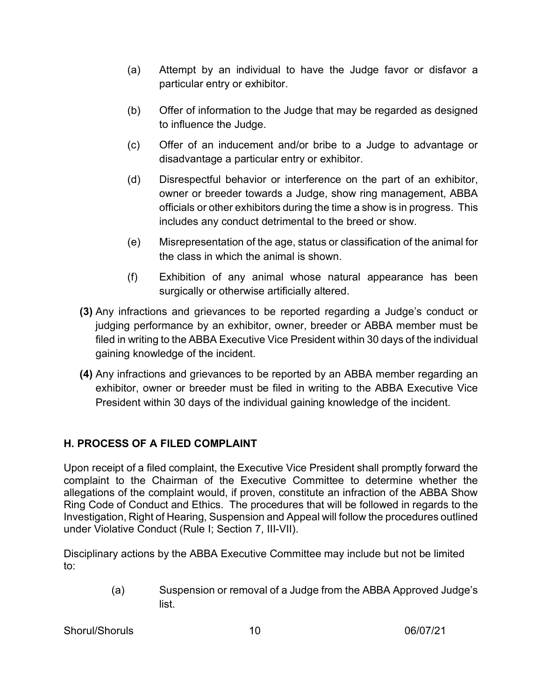- (a) Attempt by an individual to have the Judge favor or disfavor a particular entry or exhibitor.
- (b) Offer of information to the Judge that may be regarded as designed to influence the Judge.
- (c) Offer of an inducement and/or bribe to a Judge to advantage or disadvantage a particular entry or exhibitor.
- (d) Disrespectful behavior or interference on the part of an exhibitor, owner or breeder towards a Judge, show ring management, ABBA officials or other exhibitors during the time a show is in progress. This includes any conduct detrimental to the breed or show.
- (e) Misrepresentation of the age, status or classification of the animal for the class in which the animal is shown.
- (f) Exhibition of any animal whose natural appearance has been surgically or otherwise artificially altered.
- **(3)** Any infractions and grievances to be reported regarding a Judge's conduct or judging performance by an exhibitor, owner, breeder or ABBA member must be filed in writing to the ABBA Executive Vice President within 30 days of the individual gaining knowledge of the incident.
- **(4)** Any infractions and grievances to be reported by an ABBA member regarding an exhibitor, owner or breeder must be filed in writing to the ABBA Executive Vice President within 30 days of the individual gaining knowledge of the incident.

# **H. PROCESS OF A FILED COMPLAINT**

Upon receipt of a filed complaint, the Executive Vice President shall promptly forward the complaint to the Chairman of the Executive Committee to determine whether the allegations of the complaint would, if proven, constitute an infraction of the ABBA Show Ring Code of Conduct and Ethics. The procedures that will be followed in regards to the Investigation, Right of Hearing, Suspension and Appeal will follow the procedures outlined under Violative Conduct (Rule I; Section 7, III-VII).

Disciplinary actions by the ABBA Executive Committee may include but not be limited to:

> (a) Suspension or removal of a Judge from the ABBA Approved Judge's list.

Shorul/Shoruls 10 06/07/21